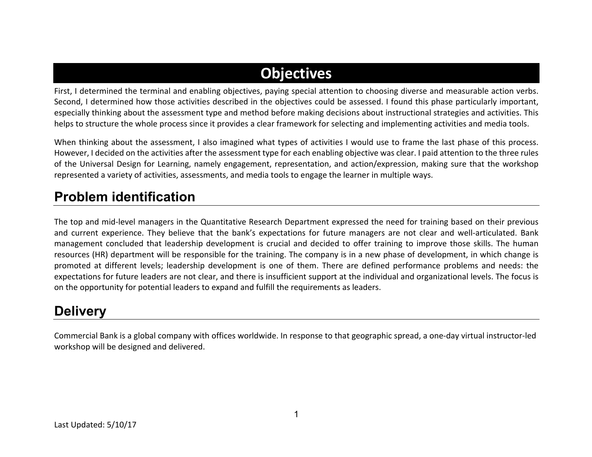# **Objectives**

First, I determined the terminal and enabling objectives, paying special attention to choosing diverse and measurable action verbs. Second, I determined how those activities described in the objectives could be assessed. I found this phase particularly important, especially thinking about the assessment type and method before making decisions about instructional strategies and activities. This helps to structure the whole process since it provides a clear framework for selecting and implementing activities and media tools.

When thinking about the assessment, I also imagined what types of activities I would use to frame the last phase of this process. However, I decided on the activities after the assessment type for each enabling objective was clear. I paid attention to the three rules of the Universal Design for Learning, namely engagement, representation, and action/expression, making sure that the workshop represented a variety of activities, assessments, and media tools to engage the learner in multiple ways.

#### **Problem identification**

The top and mid-level managers in the Quantitative Research Department expressed the need for training based on their previous and current experience. They believe that the bank's expectations for future managers are not clear and well-articulated. Bank management concluded that leadership development is crucial and decided to offer training to improve those skills. The human resources (HR) department will be responsible for the training. The company is in a new phase of development, in which change is promoted at different levels; leadership development is one of them. There are defined performance problems and needs: the expectations for future leaders are not clear, and there is insufficient support at the individual and organizational levels. The focus is on the opportunity for potential leaders to expand and fulfill the requirements as leaders.

### **Delivery**

Commercial Bank is a global company with offices worldwide. In response to that geographic spread, a one-day virtual instructor-led workshop will be designed and delivered.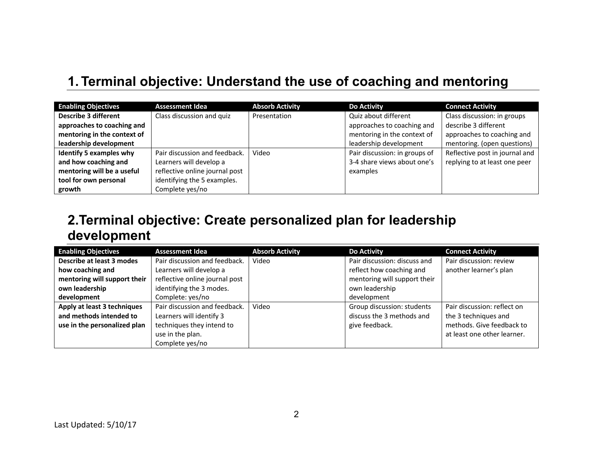## **1. Terminal objective: Understand the use of coaching and mentoring**

| <b>Enabling Objectives</b>  | <b>Assessment Idea</b>         | <b>Absorb Activity</b> | <b>Do Activity</b>            | <b>Connect Activity</b>        |
|-----------------------------|--------------------------------|------------------------|-------------------------------|--------------------------------|
| <b>Describe 3 different</b> | Class discussion and quiz      | Presentation           | Quiz about different          | Class discussion: in groups    |
| approaches to coaching and  |                                |                        | approaches to coaching and    | describe 3 different           |
| mentoring in the context of |                                |                        | mentoring in the context of   | approaches to coaching and     |
| leadership development      |                                |                        | leadership development        | mentoring. (open questions)    |
| Identify 5 examples why     | Pair discussion and feedback.  | Video                  | Pair discussion: in groups of | Reflective post in journal and |
| and how coaching and        | Learners will develop a        |                        | 3-4 share views about one's   | replying to at least one peer  |
| mentoring will be a useful  | reflective online journal post |                        | examples                      |                                |
| tool for own personal       | identifying the 5 examples.    |                        |                               |                                |
| growth                      | Complete yes/no                |                        |                               |                                |

### **2.Terminal objective: Create personalized plan for leadership development**

| <b>Enabling Objectives</b>   | <b>Assessment Idea</b>         | <b>Absorb Activity</b> | <b>Do Activity</b>           | <b>Connect Activity</b>     |
|------------------------------|--------------------------------|------------------------|------------------------------|-----------------------------|
| Describe at least 3 modes    | Pair discussion and feedback.  | Video                  | Pair discussion: discuss and | Pair discussion: review     |
| how coaching and             | Learners will develop a        |                        | reflect how coaching and     | another learner's plan      |
| mentoring will support their | reflective online journal post |                        | mentoring will support their |                             |
| own leadership               | identifying the 3 modes.       |                        | own leadership               |                             |
| development                  | Complete: yes/no               |                        | development                  |                             |
| Apply at least 3 techniques  | Pair discussion and feedback.  | Video                  | Group discussion: students   | Pair discussion: reflect on |
| and methods intended to      | Learners will identify 3       |                        | discuss the 3 methods and    | the 3 techniques and        |
| use in the personalized plan | techniques they intend to      |                        | give feedback.               | methods. Give feedback to   |
|                              | use in the plan.               |                        |                              | at least one other learner. |
|                              | Complete yes/no                |                        |                              |                             |